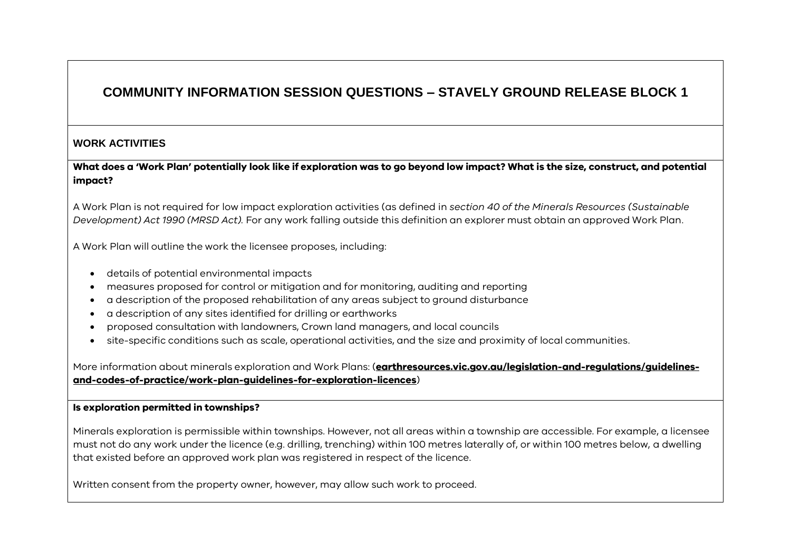# **COMMUNITY INFORMATION SESSION QUESTIONS – STAVELY GROUND RELEASE BLOCK 1**

# **WORK ACTIVITIES**

**What does a 'Work Plan' potentially look like if exploration was to go beyond low impact? What is the size, construct, and potential impact?**

A Work Plan is not required for low impact exploration activities (as defined in *section 40 of the Minerals Resources (Sustainable Development) Act 1990 (MRSD Act).* For any work falling outside this definition an explorer must obtain an approved Work Plan.

A Work Plan will outline the work the licensee proposes, including:

- details of potential environmental impacts
- measures proposed for control or mitigation and for monitoring, auditing and reporting
- a description of the proposed rehabilitation of any areas subject to ground disturbance
- a description of any sites identified for drilling or earthworks
- proposed consultation with landowners, Crown land managers, and local councils
- site-specific conditions such as scale, operational activities, and the size and proximity of local communities.

More information about minerals exploration and Work Plans: (**[earthresources.vic.gov.au/legislation-and-regulations/guidelines](https://earthresources.vic.gov.au/legislation-and-regulations/guidelines-and-codes-of-practice/work-plan-guidelines-for-exploration-licences)[and-codes-of-practice/work-plan-guidelines-for-exploration-licences](https://earthresources.vic.gov.au/legislation-and-regulations/guidelines-and-codes-of-practice/work-plan-guidelines-for-exploration-licences)**)

#### **Is exploration permitted in townships?**

Minerals exploration is permissible within townships. However, not all areas within a township are accessible. For example, a licensee must not do any work under the licence (e.g. drilling, trenching) within 100 metres laterally of, or within 100 metres below, a dwelling that existed before an approved work plan was registered in respect of the licence.

Written consent from the property owner, however, may allow such work to proceed.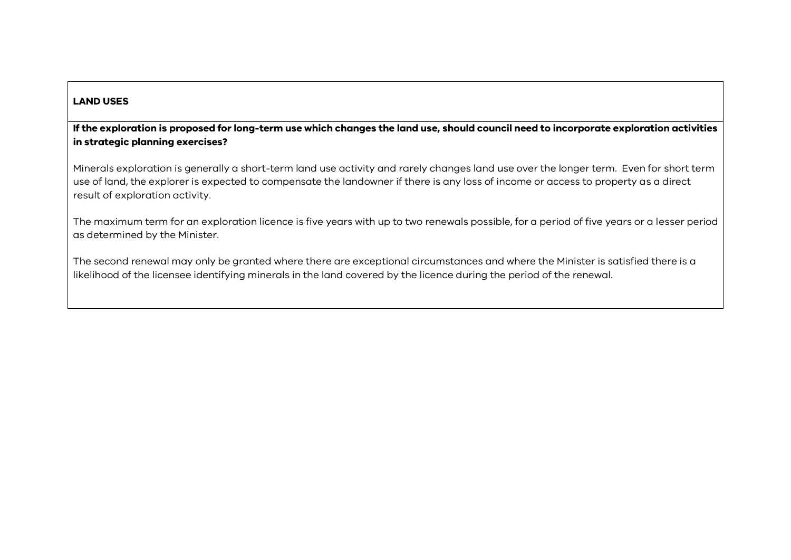# **LAND USES**

# **If the exploration is proposed for long-term use which changes the land use, should council need to incorporate exploration activities in strategic planning exercises?**

Minerals exploration is generally a short-term land use activity and rarely changes land use over the longer term. Even for short term use of land, the explorer is expected to compensate the landowner if there is any loss of income or access to property as a direct result of exploration activity.

The maximum term for an exploration licence is five years with up to two renewals possible, for a period of five years or a lesser period as determined by the Minister.

The second renewal may only be granted where there are exceptional circumstances and where the Minister is satisfied there is a likelihood of the licensee identifying minerals in the land covered by the licence during the period of the renewal.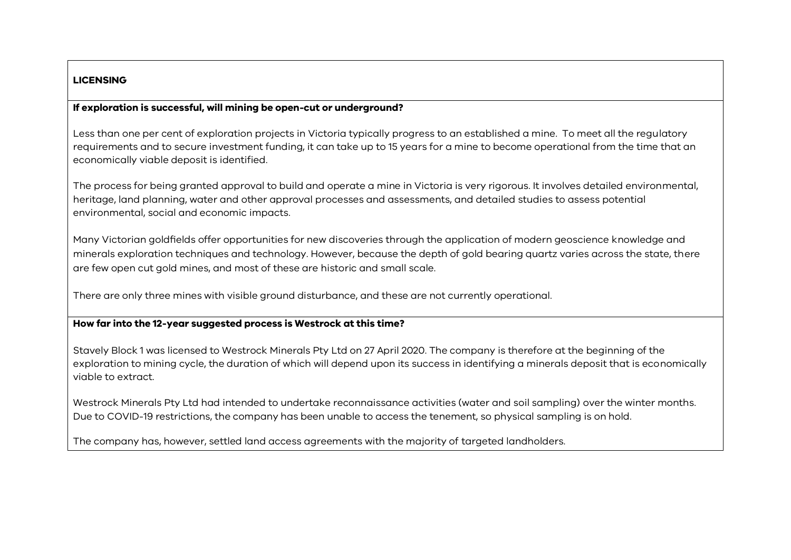# **LICENSING**

# **If exploration is successful, will mining be open-cut or underground?**

Less than one per cent of exploration projects in Victoria typically progress to an established a mine. To meet all the regulatory requirements and to secure investment funding, it can take up to 15 years for a mine to become operational from the time that an economically viable deposit is identified.

The process for being granted approval to build and operate a mine in Victoria is very rigorous. It involves detailed environmental, heritage, land planning, water and other approval processes and assessments, and detailed studies to assess potential environmental, social and economic impacts.

Many Victorian goldfields offer opportunities for new discoveries through the application of modern geoscience knowledge and minerals exploration techniques and technology. However, because the depth of gold bearing quartz varies across the state, there are few open cut gold mines, and most of these are historic and small scale.

There are only three mines with visible ground disturbance, and these are not currently operational.

#### **How far into the 12-year suggested process is Westrock at this time?**

Stavely Block 1 was licensed to Westrock Minerals Pty Ltd on 27 April 2020. The company is therefore at the beginning of the exploration to mining cycle, the duration of which will depend upon its success in identifying a minerals deposit that is economically viable to extract.

Westrock Minerals Pty Ltd had intended to undertake reconnaissance activities (water and soil sampling) over the winter months. Due to COVID-19 restrictions, the company has been unable to access the tenement, so physical sampling is on hold.

The company has, however, settled land access agreements with the majority of targeted landholders.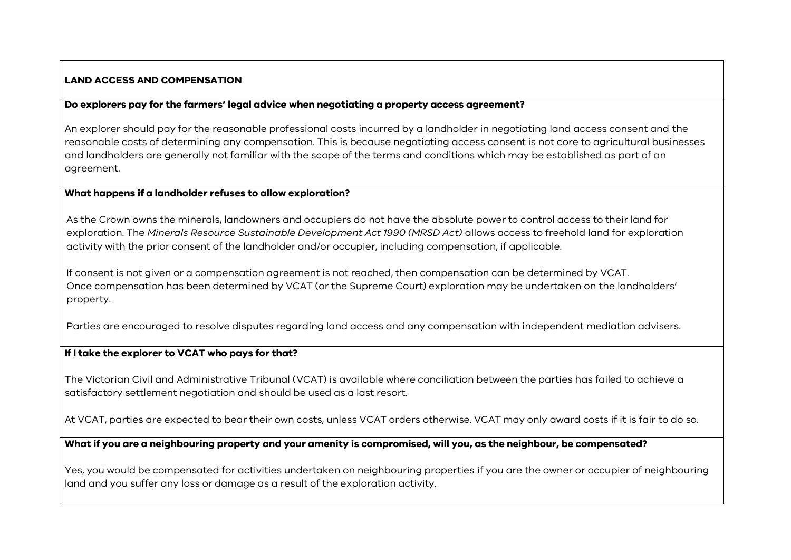# **LAND ACCESS AND COMPENSATION**

#### **Do explorers pay for the farmers' legal advice when negotiating a property access agreement?**

An explorer should pay for the reasonable professional costs incurred by a landholder in negotiating land access consent and the reasonable costs of determining any compensation. This is because negotiating access consent is not core to agricultural businesses and landholders are generally not familiar with the scope of the terms and conditions which may be established as part of an agreement.

#### **What happens if a landholder refuses to allow exploration?**

As the Crown owns the minerals, landowners and occupiers do not have the absolute power to control access to their land for exploration. The *Minerals Resource Sustainable Development Act 1990 (MRSD Act)* allows access to freehold land for exploration activity with the prior consent of the landholder and/or occupier, including compensation, if applicable.

If consent is not given or a compensation agreement is not reached, then compensation can be determined by VCAT. Once compensation has been determined by VCAT (or the Supreme Court) exploration may be undertaken on the landholders' property.

Parties are encouraged to resolve disputes regarding land access and any compensation with independent mediation advisers.

## **If I take the explorer to VCAT who pays for that?**

The Victorian Civil and Administrative Tribunal (VCAT) is available where conciliation between the parties has failed to achieve a satisfactory settlement negotiation and should be used as a last resort.

At VCAT, parties are expected to bear their own costs, unless VCAT orders otherwise. VCAT may only award costs if it is fair to do so.

# **What if you are a neighbouring property and your amenity is compromised, will you, as the neighbour, be compensated?**

Yes, you would be compensated for activities undertaken on neighbouring properties if you are the owner or occupier of neighbouring land and you suffer any loss or damage as a result of the exploration activity.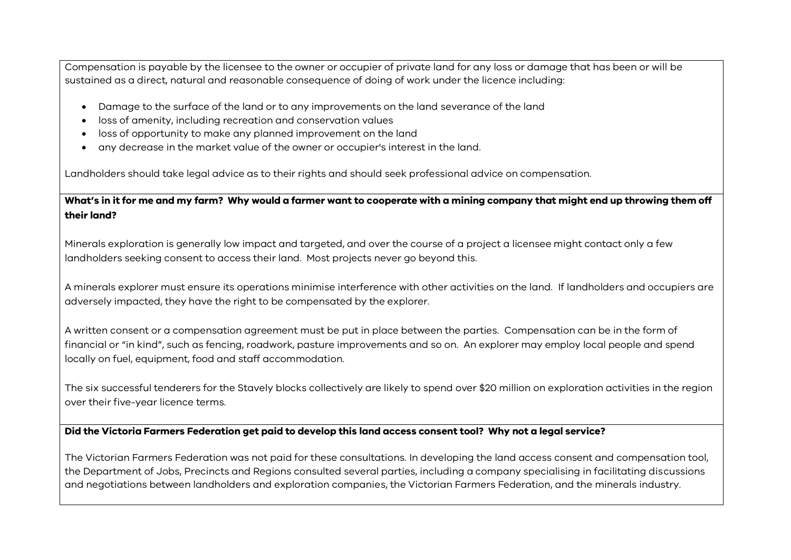Compensation is payable by the licensee to the owner or occupier of private land for any loss or damage that has been or will be sustained as a direct, natural and reasonable consequence of doing of work under the licence including:

- Damage to the surface of the land or to any improvements on the land severance of the land
- loss of amenity, including recreation and conservation values
- loss of opportunity to make any planned improvement on the land
- any decrease in the market value of the owner or occupier's interest in the land.

Landholders should take legal advice as to their rights and should seek professional advice on compensation.

**What's in it for me and my farm? Why would a farmer want to cooperate with a mining company that might end up throwing them off their land?**

Minerals exploration is generally low impact and targeted, and over the course of a project a licensee might contact only a few landholders seeking consent to access their land. Most projects never go beyond this.

A minerals explorer must ensure its operations minimise interference with other activities on the land. If landholders and occupiers are adversely impacted, they have the right to be compensated by the explorer.

A written consent or a compensation agreement must be put in place between the parties. Compensation can be in the form of financial or "in kind", such as fencing, roadwork, pasture improvements and so on. An explorer may employ local people and spend locally on fuel, equipment, food and staff accommodation.

The six successful tenderers for the Stavely blocks collectively are likely to spend over \$20 million on exploration activities in the region over their five-year licence terms.

# **Did the Victoria Farmers Federation get paid to develop this land access consent tool? Why not a legal service?**

The Victorian Farmers Federation was not paid for these consultations. In developing the land access consent and compensation tool, the Department of Jobs, Precincts and Regions consulted several parties, including a company specialising in facilitating discussions and negotiations between landholders and exploration companies, the Victorian Farmers Federation, and the minerals industry.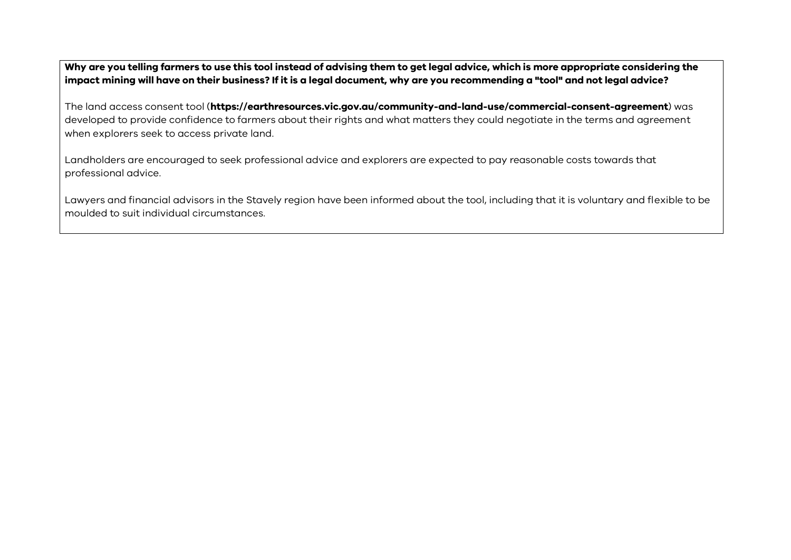**Why are you telling farmers to use this tool instead of advising them to get legal advice, which is more appropriate considering the impact mining will have on their business? If it is a legal document, why are you recommending a "tool" and not legal advice?**

The land access consent tool (**https://earthresources.vic.gov.au/community-and-land-use/commercial-consent-agreement**) was developed to provide confidence to farmers about their rights and what matters they could negotiate in the terms and agreement when explorers seek to access private land.

Landholders are encouraged to seek professional advice and explorers are expected to pay reasonable costs towards that professional advice.

Lawyers and financial advisors in the Stavely region have been informed about the tool, including that it is voluntary and flexible to be moulded to suit individual circumstances.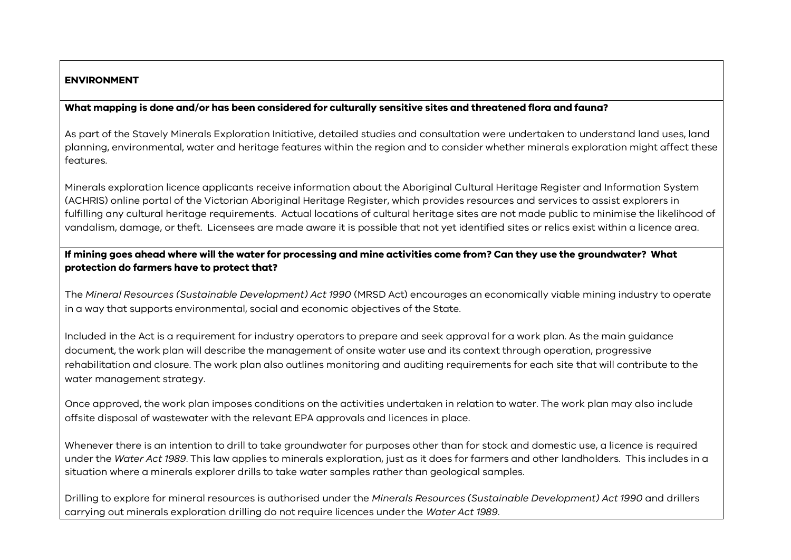## **ENVIRONMENT**

# **What mapping is done and/or has been considered for culturally sensitive sites and threatened flora and fauna?**

As part of the Stavely Minerals Exploration Initiative, detailed studies and consultation were undertaken to understand land uses, land planning, environmental, water and heritage features within the region and to consider whether minerals exploration might affect these features.

Minerals exploration licence applicants receive information about the Aboriginal Cultural Heritage Register and Information System (ACHRIS) online portal of the Victorian Aboriginal Heritage Register, which provides resources and services to assist explorers in fulfilling any cultural heritage requirements. Actual locations of cultural heritage sites are not made public to minimise the likelihood of vandalism, damage, or theft. Licensees are made aware it is possible that not yet identified sites or relics exist within a licence area.

# **If mining goes ahead where will the water for processing and mine activities come from? Can they use the groundwater? What protection do farmers have to protect that?**

The *Mineral Resources (Sustainable Development) Act 1990* (MRSD Act) encourages an economically viable mining industry to operate in a way that supports environmental, social and economic objectives of the State.

Included in the Act is a requirement for industry operators to prepare and seek approval for a work plan. As the main guidance document, the work plan will describe the management of onsite water use and its context through operation, progressive rehabilitation and closure. The work plan also outlines monitoring and auditing requirements for each site that will contribute to the water management strategy.

Once approved, the work plan imposes conditions on the activities undertaken in relation to water. The work plan may also include offsite disposal of wastewater with the relevant EPA approvals and licences in place.

Whenever there is an intention to drill to take groundwater for purposes other than for stock and domestic use, a licence is required under the *Water Act 1989*. This law applies to minerals exploration, just as it does for farmers and other landholders. This includes in a situation where a minerals explorer drills to take water samples rather than geological samples.

Drilling to explore for mineral resources is authorised under the *Minerals Resources (Sustainable Development) Act 1990* and drillers carrying out minerals exploration drilling do not require licences under the *Water Act 1989*.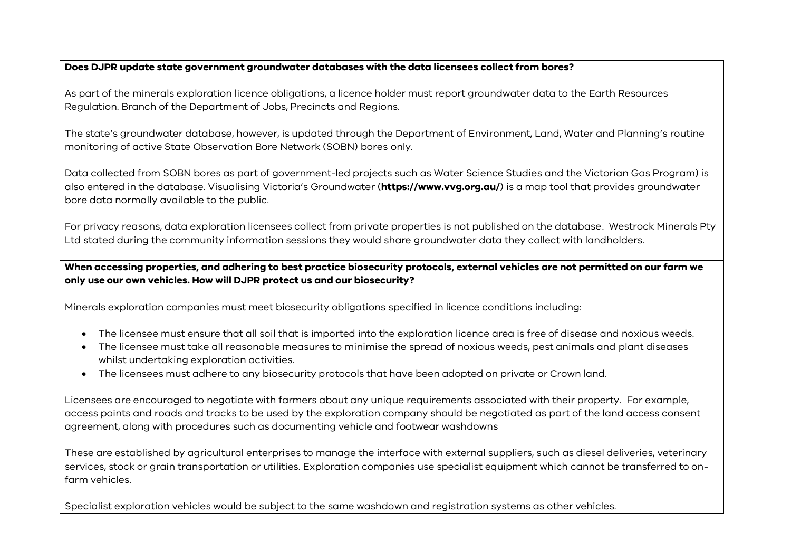## **Does DJPR update state government groundwater databases with the data licensees collect from bores?**

As part of the minerals exploration licence obligations, a licence holder must report groundwater data to the Earth Resources Regulation. Branch of the Department of Jobs, Precincts and Regions.

The state's groundwater database, however, is updated through the Department of Environment, Land, Water and Planning's routine monitoring of active State Observation Bore Network (SOBN) bores only.

Data collected from SOBN bores as part of government-led projects such as Water Science Studies and the Victorian Gas Program) is also entered in the database. Visualising Victoria's Groundwater (**<https://www.vvg.org.au/>**) is a map tool that provides groundwater bore data normally available to the public.

For privacy reasons, data exploration licensees collect from private properties is not published on the database. Westrock Minerals Pty Ltd stated during the community information sessions they would share groundwater data they collect with landholders.

**When accessing properties, and adhering to best practice biosecurity protocols, external vehicles are not permitted on our farm we only use our own vehicles. How will DJPR protect us and our biosecurity?**

Minerals exploration companies must meet biosecurity obligations specified in licence conditions including:

- The licensee must ensure that all soil that is imported into the exploration licence area is free of disease and noxious weeds.
- The licensee must take all reasonable measures to minimise the spread of noxious weeds, pest animals and plant diseases whilst undertaking exploration activities.
- The licensees must adhere to any biosecurity protocols that have been adopted on private or Crown land.

Licensees are encouraged to negotiate with farmers about any unique requirements associated with their property. For example, access points and roads and tracks to be used by the exploration company should be negotiated as part of the land access consent agreement, along with procedures such as documenting vehicle and footwear washdowns

These are established by agricultural enterprises to manage the interface with external suppliers, such as diesel deliveries, veterinary services, stock or grain transportation or utilities. Exploration companies use specialist equipment which cannot be transferred to onfarm vehicles.

Specialist exploration vehicles would be subject to the same washdown and registration systems as other vehicles.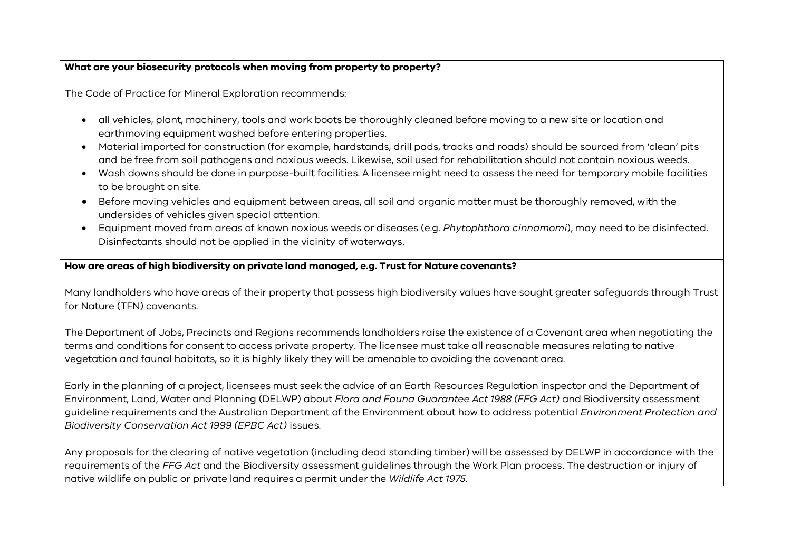# **What are your biosecurity protocols when moving from property to property?**

The Code of Practice for Mineral Exploration recommends:

- all vehicles, plant, machinery, tools and work boots be thoroughly cleaned before moving to a new site or location and earthmoving equipment washed before entering properties.
- Material imported for construction (for example, hardstands, drill pads, tracks and roads) should be sourced from 'clean' pits and be free from soil pathogens and noxious weeds. Likewise, soil used for rehabilitation should not contain noxious weeds.
- Wash downs should be done in purpose-built facilities. A licensee might need to assess the need for temporary mobile facilities to be brought on site.
- Before moving vehicles and equipment between areas, all soil and organic matter must be thoroughly removed, with the undersides of vehicles given special attention.
- Equipment moved from areas of known noxious weeds or diseases (e.g. *Phytophthora cinnamomi*), may need to be disinfected. Disinfectants should not be applied in the vicinity of waterways.

# **How are areas of high biodiversity on private land managed, e.g. Trust for Nature covenants?**

Many landholders who have areas of their property that possess high biodiversity values have sought greater safeguards through Trust for Nature (TFN) covenants.

The Department of Jobs, Precincts and Regions recommends landholders raise the existence of a Covenant area when negotiating the terms and conditions for consent to access private property. The licensee must take all reasonable measures relating to native vegetation and faunal habitats, so it is highly likely they will be amenable to avoiding the covenant area.

Early in the planning of a project, licensees must seek the advice of an Earth Resources Regulation inspector and the Department of Environment, Land, Water and Planning (DELWP) about *Flora and Fauna Guarantee Act 1988 (FFG Act)* and Biodiversity assessment guideline requirements and the Australian Department of the Environment about how to address potential *Environment Protection and Biodiversity Conservation Act 1999 (EPBC Act)* issues.

Any proposals for the clearing of native vegetation (including dead standing timber) will be assessed by DELWP in accordance with the requirements of the *FFG Act* and the Biodiversity assessment guidelines through the Work Plan process. The destruction or injury of native wildlife on public or private land requires a permit under the *Wildlife Act 1975*.